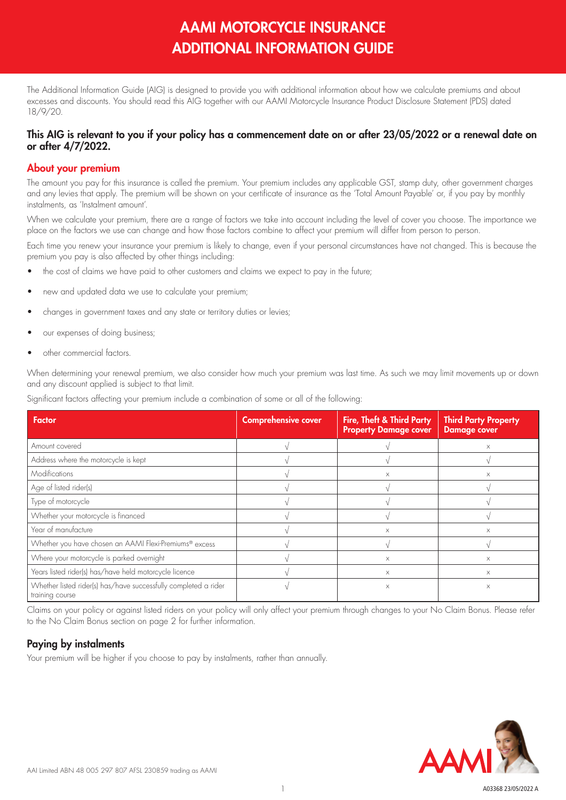# AAMI MOTORCYCLE INSURANCE ADDITIONAL INFORMATION GUIDE

The Additional Information Guide (AIG) is designed to provide you with additional information about how we calculate premiums and about excesses and discounts. You should read this AIG together with our AAMI Motorcycle Insurance Product Disclosure Statement (PDS) dated 18/9/20.

## This AIG is relevant to you if your policy has a commencement date on or after 23/05/2022 or a renewal date on or after 4/7/2022.

## About your premium

The amount you pay for this insurance is called the premium. Your premium includes any applicable GST, stamp duty, other government charges and any levies that apply. The premium will be shown on your certificate of insurance as the 'Total Amount Payable' or, if you pay by monthly instalments, as 'Instalment amount'.

When we calculate your premium, there are a range of factors we take into account including the level of cover you choose. The importance we place on the factors we use can change and how those factors combine to affect your premium will differ from person to person.

Each time you renew your insurance your premium is likely to change, even if your personal circumstances have not changed. This is because the premium you pay is also affected by other things including:

- the cost of claims we have paid to other customers and claims we expect to pay in the future;
- new and updated data we use to calculate your premium;
- changes in government taxes and any state or territory duties or levies;
- our expenses of doing business;
- other commercial factors.

When determining your renewal premium, we also consider how much your premium was last time. As such we may limit movements up or down and any discount applied is subject to that limit.

Significant factors affecting your premium include a combination of some or all of the following:

| <b>Factor</b>                                                                      | <b>Comprehensive cover</b> | Fire, Theft & Third Party<br><b>Property Damage cover</b> | <b>Third Party Property</b><br><b>Damage cover</b> |
|------------------------------------------------------------------------------------|----------------------------|-----------------------------------------------------------|----------------------------------------------------|
| Amount covered                                                                     |                            |                                                           | X                                                  |
| Address where the motorcycle is kept                                               |                            |                                                           |                                                    |
| Modifications                                                                      |                            | X                                                         | X                                                  |
| Age of listed rider(s)                                                             |                            |                                                           |                                                    |
| Type of motorcycle                                                                 |                            |                                                           |                                                    |
| Whether your motorcycle is financed                                                |                            |                                                           |                                                    |
| Year of manufacture                                                                |                            | $\times$                                                  | X                                                  |
| Whether you have chosen an AAMI Flexi-Premiums® excess                             |                            |                                                           |                                                    |
| Where your motorcycle is parked overnight                                          |                            | X                                                         | $\times$                                           |
| Years listed rider(s) has/have held motorcycle licence                             |                            | X                                                         | X                                                  |
| Whether listed rider(s) has/have successfully completed a rider<br>training course |                            | $\times$                                                  | $\times$                                           |

Claims on your policy or against listed riders on your policy will only affect your premium through changes to your No Claim Bonus. Please refer to the No Claim Bonus section on page 2 for further information.

# Paying by instalments

Your premium will be higher if you choose to pay by instalments, rather than annually.

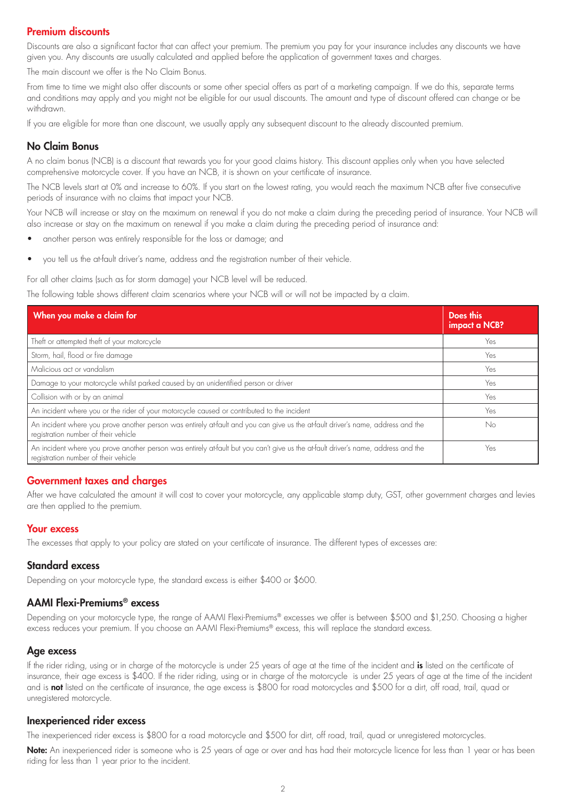## Premium discounts

Discounts are also a significant factor that can affect your premium. The premium you pay for your insurance includes any discounts we have given you. Any discounts are usually calculated and applied before the application of government taxes and charges.

The main discount we offer is the No Claim Bonus.

From time to time we might also offer discounts or some other special offers as part of a marketing campaign. If we do this, separate terms and conditions may apply and you might not be eligible for our usual discounts. The amount and type of discount offered can change or be withdrawn.

If you are eligible for more than one discount, we usually apply any subsequent discount to the already discounted premium.

## No Claim Bonus

A no claim bonus (NCB) is a discount that rewards you for your good claims history. This discount applies only when you have selected comprehensive motorcycle cover. If you have an NCB, it is shown on your certificate of insurance.

The NCB levels start at 0% and increase to 60%. If you start on the lowest rating, you would reach the maximum NCB after five consecutive periods of insurance with no claims that impact your NCB.

Your NCB will increase or stay on the maximum on renewal if you do not make a claim during the preceding period of insurance. Your NCB will also increase or stay on the maximum on renewal if you make a claim during the preceding period of insurance and:

- another person was entirely responsible for the loss or damage; and
- you tell us the at-fault driver's name, address and the registration number of their vehicle.

For all other claims (such as for storm damage) your NCB level will be reduced.

The following table shows different claim scenarios where your NCB will or will not be impacted by a claim.

| When you make a claim for                                                                                                                                                  | Does this<br>impact a NCB? |
|----------------------------------------------------------------------------------------------------------------------------------------------------------------------------|----------------------------|
| Theft or attempted theft of your motorcycle                                                                                                                                | Yes                        |
| Storm, hail, flood or fire damage                                                                                                                                          | Yes                        |
| Malicious act or vandalism                                                                                                                                                 | Yes                        |
| Damage to your motorcycle whilst parked caused by an unidentified person or driver                                                                                         | Yes                        |
| Collision with or by an animal                                                                                                                                             | Yes                        |
| An incident where you or the rider of your motorcycle caused or contributed to the incident                                                                                | Yes                        |
| An incident where you prove another person was entirely at fault and you can give us the at fault driver's name, address and the<br>registration number of their vehicle   | No                         |
| An incident where you prove another person was entirely at fault but you can't give us the at fault driver's name, address and the<br>registration number of their vehicle | Yes                        |

## Government taxes and charges

After we have calculated the amount it will cost to cover your motorcycle, any applicable stamp duty, GST, other government charges and levies are then applied to the premium.

## Your excess

The excesses that apply to your policy are stated on your certificate of insurance. The different types of excesses are:

## Standard excess

Depending on your motorcycle type, the standard excess is either \$400 or \$600.

## AAMI Flexi-Premiums® excess

Depending on your motorcycle type, the range of AAMI Flexi-Premiums® excesses we offer is between \$500 and \$1,250. Choosing a higher excess reduces your premium. If you choose an AAMI Flexi-Premiums® excess, this will replace the standard excess.

## Age excess

If the rider riding, using or in charge of the motorcycle is under 25 years of age at the time of the incident and is listed on the certificate of insurance, their age excess is \$400. If the rider riding, using or in charge of the motorcycle is under 25 years of age at the time of the incident and is not listed on the certificate of insurance, the age excess is \$800 for road motorcycles and \$500 for a dirt, off road, trail, quad or unregistered motorcycle.

## Inexperienced rider excess

The inexperienced rider excess is \$800 for a road motorcycle and \$500 for dirt, off road, trail, quad or unregistered motorcycles.

Note: An inexperienced rider is someone who is 25 years of age or over and has had their motorcycle licence for less than 1 year or has been riding for less than 1 year prior to the incident.